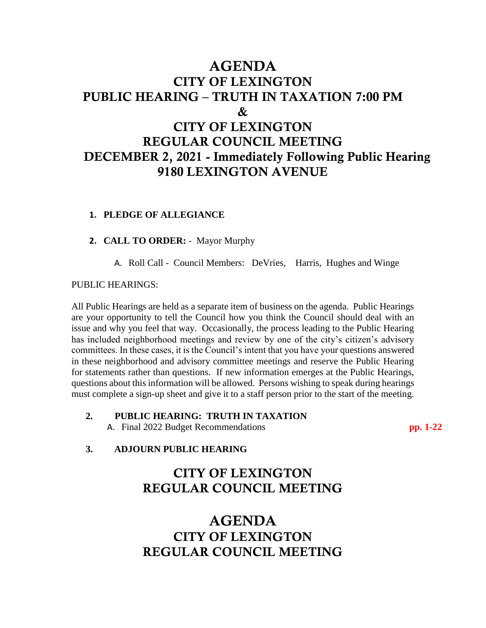# AGENDA CITY OF LEXINGTON PUBLIC HEARING – TRUTH IN TAXATION 7:00 PM & CITY OF LEXINGTON REGULAR COUNCIL MEETING DECEMBER 2, 2021 - Immediately Following Public Hearing 9180 LEXINGTON AVENUE

#### **1. PLEDGE OF ALLEGIANCE**

**2. CALL TO ORDER:** - Mayor Murphy

A. Roll Call - Council Members: DeVries, Harris, Hughes and Winge

#### PUBLIC HEARINGS:

All Public Hearings are held as a separate item of business on the agenda. Public Hearings are your opportunity to tell the Council how you think the Council should deal with an issue and why you feel that way. Occasionally, the process leading to the Public Hearing has included neighborhood meetings and review by one of the city's citizen's advisory committees. In these cases, it is the Council's intent that you have your questions answered in these neighborhood and advisory committee meetings and reserve the Public Hearing for statements rather than questions. If new information emerges at the Public Hearings, questions about this information will be allowed. Persons wishing to speak during hearings must complete a sign-up sheet and give it to a staff person prior to the start of the meeting.

**2. PUBLIC HEARING: TRUTH IN TAXATION**  A. Final 2022 Budget Recommendations **pp. 1-22** 

#### **3. ADJOURN PUBLIC HEARING**

## CITY OF LEXINGTON REGULAR COUNCIL MEETING

## AGENDA CITY OF LEXINGTON REGULAR COUNCIL MEETING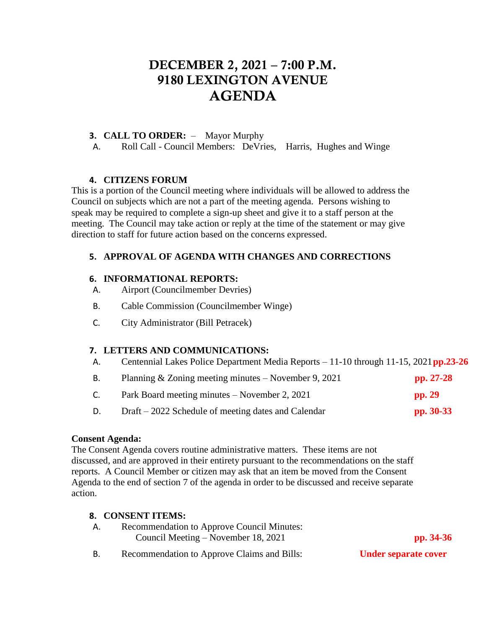# DECEMBER 2, 2021 – 7:00 P.M. 9180 LEXINGTON AVENUE AGENDA

### **3. CALL TO ORDER:** – Mayor Murphy

A. Roll Call - Council Members: DeVries, Harris, Hughes and Winge

#### **4. CITIZENS FORUM**

This is a portion of the Council meeting where individuals will be allowed to address the Council on subjects which are not a part of the meeting agenda. Persons wishing to speak may be required to complete a sign-up sheet and give it to a staff person at the meeting. The Council may take action or reply at the time of the statement or may give direction to staff for future action based on the concerns expressed.

### **5. APPROVAL OF AGENDA WITH CHANGES AND CORRECTIONS**

#### **6. INFORMATIONAL REPORTS:**

- A. Airport (Councilmember Devries)
- B. Cable Commission (Councilmember Winge)
- C. City Administrator (Bill Petracek)

### **7. LETTERS AND COMMUNICATIONS:**

A. Centennial Lakes Police Department Media Reports – 11-10 through 11-15, 2021**pp.23-26**

|    | Planning & Zoning meeting minutes $-$ November 9, 2021 | $pp. 27-28$ |
|----|--------------------------------------------------------|-------------|
| C. | Park Board meeting minutes – November 2, 2021          | pp. 29      |
|    |                                                        |             |

D. Draft – 2022 Schedule of meeting dates and Calendar **pp. 30-33**

#### **Consent Agenda:**

The Consent Agenda covers routine administrative matters. These items are not discussed, and are approved in their entirety pursuant to the recommendations on the staff reports. A Council Member or citizen may ask that an item be moved from the Consent Agenda to the end of section 7 of the agenda in order to be discussed and receive separate action.

#### **8. CONSENT ITEMS:**

| <b>Recommendation to Approve Council Minutes:</b> |             |
|---------------------------------------------------|-------------|
| Council Meeting – November 18, 2021               | pp. $34-36$ |

### B. Recommendation to Approve Claims and Bills: **Under separate cover**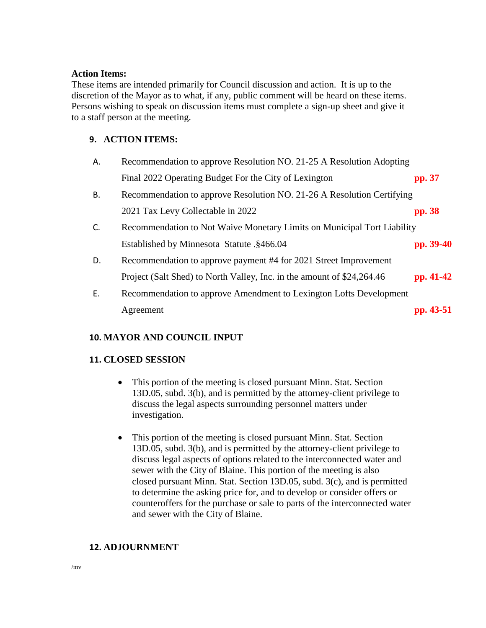#### **Action Items:**

These items are intended primarily for Council discussion and action. It is up to the discretion of the Mayor as to what, if any, public comment will be heard on these items. Persons wishing to speak on discussion items must complete a sign-up sheet and give it to a staff person at the meeting.

### **9. ACTION ITEMS:**

| Α. | Recommendation to approve Resolution NO. 21-25 A Resolution Adopting    |           |
|----|-------------------------------------------------------------------------|-----------|
|    | Final 2022 Operating Budget For the City of Lexington                   | pp. 37    |
| В. | Recommendation to approve Resolution NO. 21-26 A Resolution Certifying  |           |
|    | 2021 Tax Levy Collectable in 2022                                       | pp. 38    |
| C. | Recommendation to Not Waive Monetary Limits on Municipal Tort Liability |           |
|    | Established by Minnesota Statute .§466.04                               | pp. 39-40 |
| D. | Recommendation to approve payment #4 for 2021 Street Improvement        |           |
|    | Project (Salt Shed) to North Valley, Inc. in the amount of \$24,264.46  | pp. 41-42 |
| Ε. | Recommendation to approve Amendment to Lexington Lofts Development      |           |
|    | Agreement                                                               | pp. 43-51 |

### **10. MAYOR AND COUNCIL INPUT**

#### **11. CLOSED SESSION**

- This portion of the meeting is closed pursuant Minn. Stat. Section 13D.05, subd. 3(b), and is permitted by the attorney-client privilege to discuss the legal aspects surrounding personnel matters under investigation.
- This portion of the meeting is closed pursuant Minn. Stat. Section 13D.05, subd. 3(b), and is permitted by the attorney-client privilege to discuss legal aspects of options related to the interconnected water and sewer with the City of Blaine. This portion of the meeting is also closed pursuant Minn. Stat. Section 13D.05, subd. 3(c), and is permitted to determine the asking price for, and to develop or consider offers or counteroffers for the purchase or sale to parts of the interconnected water and sewer with the City of Blaine.

### **12. ADJOURNMENT**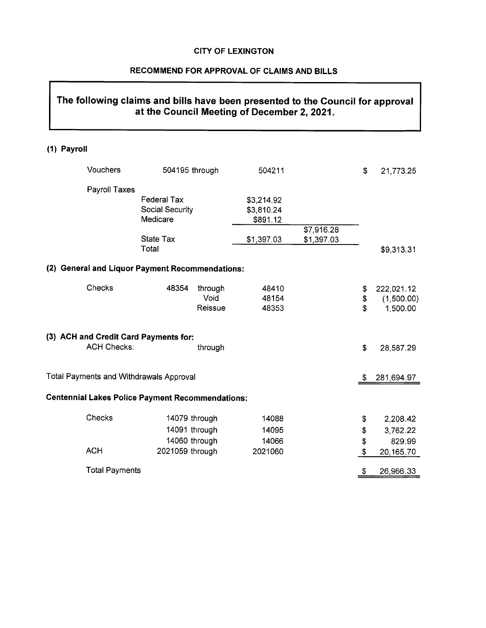#### RECOMMEND FOR APPROVAL OF CLAIMS AND BILLS

## The following claims and bills have been presented to the Council for approval at the Council Meeting of December 2, 2021.

#### (1) Payroll

| Vouchers                                                    | 504195 through     |         | 504211     |            | \$  | 21,773.25  |
|-------------------------------------------------------------|--------------------|---------|------------|------------|-----|------------|
| Payroll Taxes                                               |                    |         |            |            |     |            |
|                                                             | <b>Federal Tax</b> |         | \$3,214.92 |            |     |            |
|                                                             | Social Security    |         | \$3,810.24 |            |     |            |
|                                                             | Medicare           |         | \$891.12   |            |     |            |
|                                                             |                    |         |            | \$7,916.28 |     |            |
|                                                             | <b>State Tax</b>   |         | \$1,397.03 | \$1,397.03 |     |            |
|                                                             | Total              |         |            |            |     | \$9,313.31 |
| <b>General and Liquor Payment Recommendations:</b><br>(2)   |                    |         |            |            |     |            |
| Checks                                                      | 48354              | through | 48410      |            | \$  | 222,021.12 |
|                                                             |                    | Void    | 48154      |            | \$  | (1,500.00) |
|                                                             |                    | Reissue | 48353      |            | \$  | 1,500.00   |
| (3) ACH and Credit Card Payments for:<br><b>ACH Checks:</b> |                    | through |            |            | \$  | 28,587.29  |
| Total Payments and Withdrawals Approval                     |                    |         |            |            | \$. | 281,694.97 |
| <b>Centennial Lakes Police Payment Recommendations:</b>     |                    |         |            |            |     |            |
| Checks                                                      | 14079 through      |         | 14088      |            | \$  | 2,208.42   |
|                                                             | 14091 through      |         | 14095      |            | \$  | 3,762.22   |
|                                                             | 14060 through      |         | 14066      |            | \$  | 829.99     |
| <b>ACH</b>                                                  | 2021059 through    |         | 2021060    |            | \$  | 20,165.70  |
| <b>Total Payments</b>                                       |                    |         |            |            | \$  | 26,966.33  |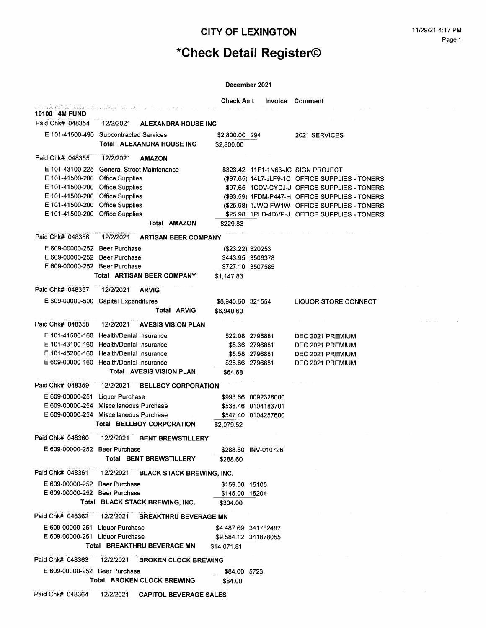# \*Check Detail Register©

|                                                                 |                                               | <b>Check Amt</b>  | Invoice              | Comment                                                                               |
|-----------------------------------------------------------------|-----------------------------------------------|-------------------|----------------------|---------------------------------------------------------------------------------------|
| i de Samarinini analme amerikan dengan pada da<br>10100 4M FUND |                                               |                   |                      |                                                                                       |
| Paid Chk# 048354                                                | 12/2/2021<br><b>ALEXANDRA HOUSE INC</b>       |                   |                      |                                                                                       |
|                                                                 | E 101-41500-490 Subcontracted Services        | \$2,800.00 294    |                      | 2021 SERVICES                                                                         |
|                                                                 | Total ALEXANDRA HOUSE INC                     | \$2,800.00        |                      |                                                                                       |
| Paid Chk# 048355                                                | 12/2/2021<br><b>AMAZON</b>                    |                   |                      |                                                                                       |
| E 101-43100-225                                                 | <b>General Street Maintenance</b>             |                   |                      |                                                                                       |
| E 101-41500-200                                                 | <b>Office Supplies</b>                        |                   |                      | \$323.42 11F1-1N63-JC SIGN PROJECT<br>(\$97.65) 14L7-JLF9-1C OFFICE SUPPLIES - TONERS |
| E 101-41500-200 Office Supplies                                 |                                               |                   |                      | \$97.65 1CDV-CYDJ-J OFFICE SUPPLIES - TONERS                                          |
| E 101-41500-200 Office Supplies                                 |                                               |                   |                      | (\$93.59) 1FDM-P447-H OFFICE SUPPLIES - TONERS                                        |
| E 101-41500-200                                                 | <b>Office Supplies</b>                        |                   |                      | (\$25.98) 1JWQ-FW1W- OFFICE SUPPLIES - TONERS                                         |
| E 101-41500-200                                                 | <b>Office Supplies</b>                        |                   |                      | \$25.98 1PLD-4DVP-J OFFICE SUPPLIES - TONERS                                          |
|                                                                 | Total AMAZON                                  | \$229.83          |                      |                                                                                       |
| Paid Chk# 048356                                                | 12/2/2021<br><b>ARTISAN BEER COMPANY</b>      |                   |                      |                                                                                       |
| E 609-00000-252 Beer Purchase                                   |                                               |                   | (\$23.22) 320253     |                                                                                       |
| E 609-00000-252 Beer Purchase                                   |                                               |                   | \$443.95 3506378     |                                                                                       |
| E 609-00000-252 Beer Purchase                                   |                                               |                   | \$727.10 3507585     |                                                                                       |
|                                                                 | <b>Total ARTISAN BEER COMPANY</b>             | \$1,147.83        |                      |                                                                                       |
| Paid Chk# 048357                                                | 12/2/2021<br><b>ARVIG</b>                     |                   |                      |                                                                                       |
|                                                                 | E 609-00000-500 Capital Expenditures          | \$8,940.60 321554 |                      | <b>LIQUOR STORE CONNECT</b>                                                           |
|                                                                 | <b>Total ARVIG</b>                            | \$8,940.60        |                      |                                                                                       |
| Paid Chk# 048358                                                | 12/2/2021<br><b>AVESIS VISION PLAN</b>        |                   |                      |                                                                                       |
|                                                                 | E 101-41500-160 Health/Dental Insurance       |                   | \$22.08 2796881      | DEC 2021 PREMIUM                                                                      |
|                                                                 | E 101-43100-160 Health/Dental Insurance       |                   | \$8.36 2796881       | DEC 2021 PREMIUM                                                                      |
|                                                                 | E 101-45200-160 Health/Dental Insurance       |                   | \$5.58 2796881       | DEC 2021 PREMIUM                                                                      |
|                                                                 | E 609-00000-160 Health/Dental Insurance       |                   | \$28.66 2796881      | DEC 2021 PREMIUM                                                                      |
|                                                                 | <b>Total AVESIS VISION PLAN</b>               | \$64.68           |                      |                                                                                       |
| Paid Chk# 048359                                                | 12/2/2021<br><b>BELLBOY CORPORATION</b>       |                   |                      |                                                                                       |
| E 609-00000-251 Liquor Purchase                                 |                                               |                   | \$993.66 0092328000  |                                                                                       |
|                                                                 | E 609-00000-254 Miscellaneous Purchase        |                   | \$538.46 0104183701  |                                                                                       |
|                                                                 | E 609-00000-254 Miscellaneous Purchase        |                   | \$547.40 0104257600  |                                                                                       |
|                                                                 | Total BELLBOY CORPORATION                     | \$2.079.52        |                      |                                                                                       |
| Paid Chk# 048360                                                | 12/2/2021<br><b>BENT BREWSTILLERY</b>         |                   |                      |                                                                                       |
| E 609-00000-252 Beer Purchase                                   |                                               |                   | \$288.60 INV-010726  |                                                                                       |
|                                                                 | Total BENT BREWSTILLERY                       | \$288.60          |                      |                                                                                       |
| Paid Chk# 048361                                                | 12/2/2021<br><b>BLACK STACK BREWING, INC.</b> |                   |                      |                                                                                       |
| E 609-00000-252 Beer Purchase                                   |                                               | \$159.00 15105    |                      |                                                                                       |
| E 609-00000-252 Beer Purchase                                   |                                               | \$145.00 15204    |                      |                                                                                       |
|                                                                 | Total BLACK STACK BREWING, INC.               | \$304.00          |                      |                                                                                       |
| Paid Chk# 048362                                                | 12/2/2021<br><b>BREAKTHRU BEVERAGE MN</b>     |                   |                      |                                                                                       |
| E 609-00000-251 Liquor Purchase                                 |                                               |                   | \$4,487.69 341782487 |                                                                                       |
| E 609-00000-251 Liquor Purchase                                 |                                               |                   | \$9,584.12 341878055 |                                                                                       |
|                                                                 | Total BREAKTHRU BEVERAGE MN                   | \$14,071.81       |                      |                                                                                       |
| Paid Chk# 048363                                                | 12/2/2021<br><b>BROKEN CLOCK BREWING</b>      |                   |                      |                                                                                       |
| E 609-00000-252 Beer Purchase                                   |                                               | \$84.00 5723      |                      |                                                                                       |
|                                                                 | Total BROKEN CLOCK BREWING                    | \$84.00           |                      |                                                                                       |
|                                                                 |                                               |                   |                      |                                                                                       |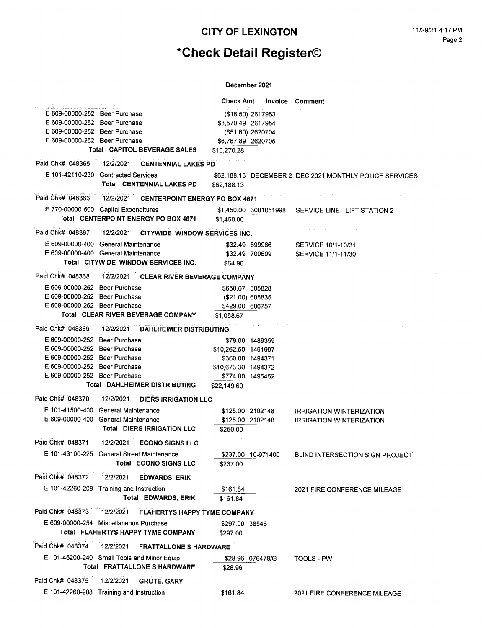# \*Check Detail Register©

|                                                                |           |                                                          | Check Amt                               |  | <b>Invoice Comment</b>                                  |
|----------------------------------------------------------------|-----------|----------------------------------------------------------|-----------------------------------------|--|---------------------------------------------------------|
| E 609-00000-252 Beer Purchase                                  |           |                                                          | (\$16.50) 2617953                       |  |                                                         |
| E 609-00000-252 Beer Purchase                                  |           |                                                          | \$3,570.49 2617954                      |  |                                                         |
| E 609-00000-252 Beer Purchase                                  |           |                                                          | (\$51.60) 2620704                       |  |                                                         |
| E 609-00000-252 Beer Purchase                                  |           |                                                          | \$6,767.89 2620705                      |  |                                                         |
|                                                                |           | Total CAPITOL BEVERAGE SALES                             | \$10,270.28                             |  |                                                         |
|                                                                |           | Paid Chk# 048365 12/2/2021 CENTENNIAL LAKES PD           |                                         |  |                                                         |
| E 101-42110-230 Contracted Services                            |           |                                                          |                                         |  | \$62,188.13 DECEMBER 2 DEC 2021 MONTHLY POLICE SERVICES |
|                                                                |           | Total CENTENNIAL LAKES PD                                | \$62,188.13                             |  |                                                         |
| Paid Chk# 048366                                               |           | 12/2/2021 CENTERPOINT ENERGY PO BOX 4671                 |                                         |  |                                                         |
| E 770-00000-500 Capital Expenditures                           |           |                                                          |                                         |  |                                                         |
|                                                                |           | otal CENTERPOINT ENERGY PO BOX 4671                      | \$1,450.00                              |  |                                                         |
|                                                                |           | Paid Chk# 048367 12/2/2021 CITYWIDE WINDOW SERVICES INC. |                                         |  |                                                         |
| E 609-00000-400 General Maintenance                            |           |                                                          | \$32.49 699966                          |  | SERVICE 10/1-10/31                                      |
| E 609-00000-400 General Maintenance                            |           |                                                          | \$32.49 700609                          |  | SERVICE 11/1-11/30                                      |
|                                                                |           | Total CITYWIDE WINDOW SERVICES INC.                      | \$64.98                                 |  |                                                         |
| Paid Chk# 048368                                               |           | 12/2/2021 CLEAR RIVER BEVERAGE COMPANY                   |                                         |  |                                                         |
| E 609-00000-252 Beer Purchase                                  |           |                                                          | \$650.67 605828                         |  |                                                         |
| E 609-00000-252 Beer Purchase<br>E 609-00000-252 Beer Purchase |           |                                                          | (\$21.00) 605835                        |  |                                                         |
|                                                                |           | Total CLEAR RIVER BEVERAGE COMPANY                       | \$429.00 606757<br>\$1,058.67           |  |                                                         |
|                                                                |           |                                                          |                                         |  |                                                         |
| Paid Chk# 048369                                               | 12/2/2021 | <b>DAHLHEIMER DISTRIBUTING</b>                           |                                         |  |                                                         |
| E 609-00000-252 Beer Purchase                                  |           |                                                          | \$79.00 1489359                         |  |                                                         |
| E 609-00000-252 Beer Purchase<br>E 609-00000-252 Beer Purchase |           |                                                          | \$10,262.50 1491997                     |  |                                                         |
| E 609-00000-252 Beer Purchase                                  |           |                                                          | \$360.00 1494371                        |  |                                                         |
| E 609-00000-252 Beer Purchase                                  |           |                                                          | \$10,673.30 1494372<br>\$774.80 1495452 |  |                                                         |
|                                                                |           | Total DAHLHEIMER DISTRIBUTING                            | \$22,149.60                             |  |                                                         |
| Paid Chk# 048370                                               |           | 12/2/2021 DIERS IRRIGATION LLC                           |                                         |  |                                                         |
| E 101-41500-400 General Maintenance                            |           |                                                          | \$125.00 2102148                        |  | <b>IRRIGATION WINTERIZATION</b>                         |
| E 609-00000-400 General Maintenance                            |           |                                                          | \$125.00 2102148                        |  | <b>IRRIGATION WINTERIZATION</b>                         |
|                                                                |           | <b>Total DIERS IRRIGATION LLC</b>                        | \$250.00                                |  |                                                         |
| Paid Chk# 048371 12/2/2021                                     |           | <b>ECONO SIGNS LLC</b>                                   |                                         |  |                                                         |
| E 101-43100-225 General Street Maintenance                     |           |                                                          | \$237.00 10-971400                      |  | BLIND INTERSECTION SIGN PROJECT                         |
|                                                                |           | <b>Total ECONO SIGNS LLC</b>                             | \$237.00                                |  |                                                         |
| Paid Chk# 048372                                               | 12/2/2021 | <b>EDWARDS, ERIK</b>                                     |                                         |  |                                                         |
| E 101-42260-208 Training and Instruction                       |           |                                                          | \$161.84                                |  | 2021 FIRE CONFERENCE MILEAGE                            |
|                                                                |           | Total EDWARDS, ERIK                                      | \$161.84                                |  |                                                         |
| Paid Chk# 048373                                               | 12/2/2021 | <b>FLAHERTYS HAPPY TYME COMPANY</b>                      |                                         |  |                                                         |
| E 609-00000-254 Miscellaneous Purchase                         |           |                                                          | \$297.00 38546                          |  |                                                         |
|                                                                |           | <b>Total FLAHERTYS HAPPY TYME COMPANY</b>                | \$297.00                                |  |                                                         |
| Paid Chk# 048374                                               | 12/2/2021 | <b>FRATTALLONE S HARDWARE</b>                            |                                         |  |                                                         |
| E 101-45200-240 Small Tools and Minor Equip                    |           |                                                          | \$28.96 076478/G                        |  | TOOLS - PW                                              |
|                                                                |           | Total FRATTALLONE S HARDWARE                             | \$28.96                                 |  |                                                         |
| Paid Chk# 048375                                               | 12/2/2021 | <b>GROTE, GARY</b>                                       |                                         |  |                                                         |
| E 101-42260-208 Training and Instruction                       |           |                                                          | \$161.84                                |  | 2021 FIRE CONFERENCE MILEAGE                            |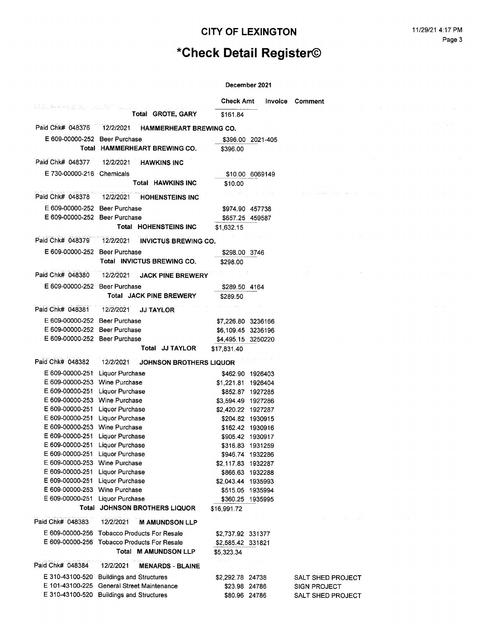# \*Check Detail Register©

 $\mathcal{L}^{\mathcal{L}}$ 

| PAGADA KARANG NASA SAN MATANG SA SA |                                             | <b>Check Amt</b>   | Invoice           | Comment                  |
|-------------------------------------|---------------------------------------------|--------------------|-------------------|--------------------------|
|                                     | Total GROTE, GARY                           | \$161.84           |                   |                          |
| Paid Chk# 048376                    | 12/2/2021<br>HAMMERHEART BREWING CO.        |                    |                   |                          |
| E 609-00000-252 Beer Purchase       |                                             |                    | \$396.00 2021-405 |                          |
|                                     | Total HAMMERHEART BREWING CO.               | \$396.00           |                   |                          |
| Paid Chk# 048377                    | 12/2/2021<br><b>HAWKINS INC</b>             |                    |                   |                          |
|                                     |                                             |                    |                   |                          |
| E 730-00000-216 Chemicals           |                                             |                    | \$10.00 6069149   |                          |
|                                     | Total HAWKINS INC                           | \$10.00            |                   |                          |
| Paid Chk# 048378                    | 12/2/2021<br><b>HOHENSTEINS INC</b>         |                    |                   |                          |
| E 609-00000-252 Beer Purchase       |                                             | \$974.90 457738    |                   |                          |
| E 609-00000-252 Beer Purchase       |                                             | \$657.25 459587    |                   |                          |
|                                     | Total HOHENSTEINS INC                       | \$1,632.15         |                   |                          |
| Paid Chk# 048379                    | 12/2/2021<br><b>INVICTUS BREWING CO.</b>    |                    |                   |                          |
| E 609-00000-252 Beer Purchase       |                                             | \$298.00 3746      |                   |                          |
|                                     | Total INVICTUS BREWING CO.                  | \$298.00           |                   |                          |
| Paid Chk# 048380                    | 12/2/2021<br><b>JACK PINE BREWERY</b>       |                    |                   |                          |
| E 609-00000-252 Beer Purchase       |                                             | \$289.50 4164      |                   |                          |
|                                     | <b>Total JACK PINE BREWERY</b>              | \$289.50           |                   |                          |
|                                     |                                             |                    |                   |                          |
| Paid Chk# 048381                    | 12/2/2021<br><b>JJ TAYLOR</b>               |                    |                   |                          |
| E 609-00000-252 Beer Purchase       |                                             | \$7,226.80 3236166 |                   |                          |
| E 609-00000-252 Beer Purchase       |                                             | \$6,109.45 3236196 |                   |                          |
| E 609-00000-252 Beer Purchase       |                                             | \$4,495.15 3250220 |                   |                          |
|                                     | Total JJ TAYLOR                             | \$17,831.40        |                   |                          |
| Paid Chk# 048382                    | 12/2/2021<br>JOHNSON BROTHERS LIQUOR        |                    |                   |                          |
| E 609-00000-251                     | <b>Liquor Purchase</b>                      |                    | \$462.90 1926403  |                          |
| E 609-00000-253 Wine Purchase       |                                             | \$1,221.81 1926404 |                   |                          |
| E 609-00000-251 Liquor Purchase     |                                             |                    | \$852.87 1927285  |                          |
| E 609-00000-253 Wine Purchase       |                                             | \$3,594.49 1927286 |                   |                          |
| E 609-00000-251 Liquor Purchase     |                                             | \$2,420.22 1927287 |                   |                          |
| E 609-00000-251 Liquor Purchase     |                                             |                    | \$204.82 1930915  |                          |
| E 609-00000-253 Wine Purchase       |                                             |                    | \$162.42 1930916  |                          |
| E 609-00000-251 Liquor Purchase     |                                             |                    | \$905.42 1930917  |                          |
| E 609-00000-251 Liquor Purchase     |                                             | \$316.83 1931259   |                   |                          |
| E 609-00000-251 Liquor Purchase     |                                             | \$946.74 1932286   |                   |                          |
| E 609-00000-253 Wine Purchase       |                                             | \$2,117.83 1932287 |                   |                          |
| E 609-00000-251 Liquor Purchase     |                                             | \$866.63 1932288   |                   |                          |
| E 609-00000-251 Liquor Purchase     |                                             | \$2,043.44 1935993 |                   |                          |
| E 609-00000-253 Wine Purchase       |                                             |                    | \$515.05 1935994  |                          |
| E 609-00000-251 Liquor Purchase     |                                             | \$360.25 1935995   |                   |                          |
|                                     | Total JOHNSON BROTHERS LIQUOR               | \$16,991.72        |                   |                          |
| Paid Chk# 048383                    | 12/2/2021<br><b>M AMUNDSON LLP</b>          |                    |                   |                          |
|                                     | E 609-00000-256 Tobacco Products For Resale | \$2,737.92 331377  |                   |                          |
|                                     | E 609-00000-256 Tobacco Products For Resale | \$2,585.42 331821  |                   |                          |
|                                     | Total M AMUNDSON LLP                        | \$5,323.34         |                   |                          |
| Paid Chk# 048384                    | 12/2/2021<br><b>MENARDS - BLAINE</b>        |                    |                   |                          |
|                                     | E 310-43100-520 Buildings and Structures    | \$2,292.78 24738   |                   | SALT SHED PROJECT        |
|                                     | E 101-43100-225 General Street Maintenance  | \$23.98 24786      |                   | <b>SIGN PROJECT</b>      |
|                                     | E 310-43100-520 Buildings and Structures    | \$80.96 24786      |                   | <b>SALT SHED PROJECT</b> |
|                                     |                                             |                    |                   |                          |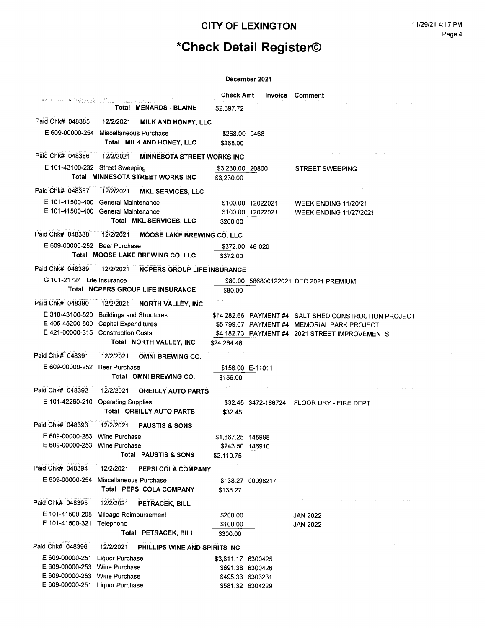# \*Check Detail Register©

 $\sim 10$ 

|                                    | r gering in de Skriene i Skriuwe in de de de de d             | <b>Check Amt</b>     | Invoice             | <b>Comment</b>                                        |
|------------------------------------|---------------------------------------------------------------|----------------------|---------------------|-------------------------------------------------------|
|                                    | Total MENARDS - BLAINE                                        | \$2,397.72           |                     |                                                       |
| Paid Chk# 048385                   | 12/2/2021<br>MILK AND HONEY, LLC                              |                      |                     |                                                       |
|                                    | E 609-00000-254 Miscellaneous Purchase                        | \$268.00 9468        |                     |                                                       |
|                                    | Total MILK AND HONEY, LLC                                     | \$268.00             |                     |                                                       |
| Paid Chk# 048386                   | 12/2/2021<br><b>MINNESOTA STREET WORKS INC</b>                |                      |                     |                                                       |
|                                    | E 101-43100-232 Street Sweeping                               | \$3,230.00 20800     |                     | <b>STREET SWEEPING</b>                                |
|                                    | Total MINNESOTA STREET WORKS INC                              | \$3,230.00           |                     |                                                       |
| Paid Chk# 048387                   | 12/2/2021<br><b>MKL SERVICES, LLC</b>                         |                      |                     |                                                       |
|                                    | E 101-41500-400 General Maintenance                           |                      | \$100.00 12022021   | WEEK ENDING 11/20/21                                  |
|                                    | E 101-41500-400 General Maintenance                           |                      | \$100.00 12022021   | <b>WEEK ENDING 11/27/2021</b>                         |
|                                    | Total MKL SERVICES, LLC                                       | \$200.00             |                     |                                                       |
| Paid Chk# 048388                   | 12/2/2021<br>MOOSE LAKE BREWING CO. LLC                       |                      |                     |                                                       |
| E 609-00000-252 Beer Purchase      |                                                               |                      | \$372.00 46-020     |                                                       |
|                                    | Total MOOSE LAKE BREWING CO. LLC                              | \$372.00             |                     |                                                       |
| Paid Chk# 048389                   | 12/2/2021<br><b>NCPERS GROUP LIFE INSURANCE</b>               |                      |                     |                                                       |
| G 101-21724 Life Insurance         |                                                               |                      |                     | \$80.00 586800122021 DEC 2021 PREMIUM                 |
|                                    | Total NCPERS GROUP LIFE INSURANCE                             | \$80.00              |                     |                                                       |
| Paid Chk# 048390                   | 12/2/2021<br><b>NORTH VALLEY, INC</b>                         |                      |                     |                                                       |
|                                    | E 310-43100-520 Buildings and Structures                      |                      |                     | \$14,282.66 PAYMENT #4 SALT SHED CONSTRUCTION PROJECT |
|                                    | E 405-45200-500 Capital Expenditures                          |                      |                     | \$5,799.07 PAYMENT #4 MEMORIAL PARK PROJECT           |
|                                    | E 421-00000-315 Construction Costs<br>Total NORTH VALLEY, INC |                      |                     | \$4,182.73 PAYMENT #4 2021 STREET IMPROVEMENTS        |
|                                    |                                                               | \$24,264.46          |                     |                                                       |
| Paid Chk# 048391                   | 12/2/2021<br><b>OMNI BREWING CO.</b>                          |                      |                     |                                                       |
| E 609-00000-252                    | <b>Beer Purchase</b>                                          |                      | \$156.00 E-11011    |                                                       |
|                                    | Total OMNI BREWING CO.                                        | \$156.00             |                     |                                                       |
| Paid Chk# 048392                   | 12/2/2021<br><b>OREILLY AUTO PARTS</b>                        |                      |                     |                                                       |
|                                    | E 101-42260-210 Operating Supplies                            |                      | \$32.45 3472-166724 | FLOOR DRY - FIRE DEPT                                 |
|                                    | <b>Total OREILLY AUTO PARTS</b>                               | \$32.45              |                     |                                                       |
| Paid Chk# 048393                   | 12/2/2021<br><b>PAUSTIS &amp; SONS</b>                        |                      |                     |                                                       |
| E 609-00000-253 Wine Purchase      |                                                               | \$1,867.25 145998    |                     |                                                       |
| E 609-00000-253 Wine Purchase      | <b>Total PAUSTIS &amp; SONS</b>                               | \$243.50 146910      |                     |                                                       |
|                                    |                                                               | \$2,110.75           |                     |                                                       |
| Paid Chk# 048394                   | 12/2/2021<br>PEPSI COLA COMPANY                               |                      |                     |                                                       |
| E 609-00000-254                    | Miscellaneous Purchase<br>Total PEPSI COLA COMPANY            |                      | \$138.27 00098217   |                                                       |
|                                    |                                                               | \$138.27             |                     |                                                       |
| Paid Chk# 048395                   | 12/2/2021<br>PETRACEK, BILL                                   |                      |                     |                                                       |
| E 101-41500-205<br>E 101-41500-321 | Mileage Reimbursement<br>Telephone                            | \$200.00             |                     | <b>JAN 2022</b>                                       |
|                                    | Total PETRACEK, BILL                                          | \$100.00<br>\$300.00 |                     | <b>JAN 2022</b>                                       |
| Paid Chk# 048396                   |                                                               |                      |                     |                                                       |
|                                    | 12/2/2021<br>PHILLIPS WINE AND SPIRITS INC                    |                      |                     |                                                       |
| E 609-00000-251<br>E 609-00000-253 | Liquor Purchase<br><b>Wine Purchase</b>                       | \$3,811.17 6300425   | \$691.38 6300426    |                                                       |
| E 609-00000-253                    | <b>Wine Purchase</b>                                          |                      | \$495.33 6303231    |                                                       |
| E 609-00000-251 Liquor Purchase    |                                                               |                      | \$581.32 6304229    |                                                       |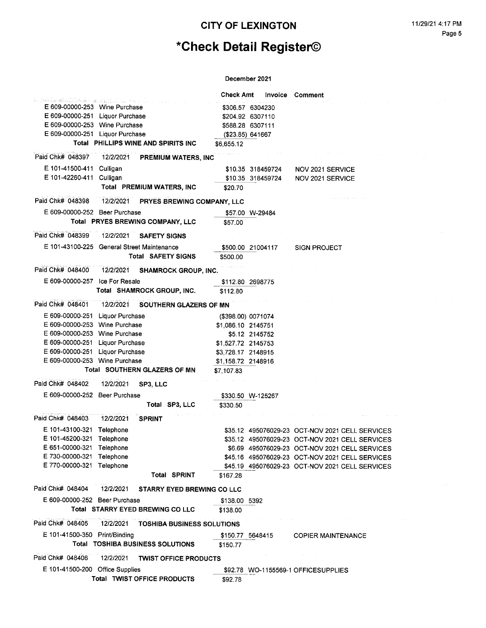# \*Check Detail Register©

|                                                                                     |           |                                      | <b>Check Amt</b>   | Invoice           | <b>Comment</b>                                  |  |
|-------------------------------------------------------------------------------------|-----------|--------------------------------------|--------------------|-------------------|-------------------------------------------------|--|
| kolektione atlikansk han allning og en solvojoj po<br>E 609-00000-253 Wine Purchase |           |                                      |                    | \$306.57 6304230  |                                                 |  |
| E 609-00000-251 Liquor Purchase                                                     |           |                                      |                    | \$204.92 6307110  |                                                 |  |
| E 609-00000-253 Wine Purchase                                                       |           |                                      |                    | \$588.28 6307111  |                                                 |  |
| E 609-00000-251 Liquor Purchase                                                     |           |                                      |                    | (\$23.85) 641667  |                                                 |  |
|                                                                                     |           | Total PHILLIPS WINE AND SPIRITS INC  | \$6,655.12         |                   |                                                 |  |
|                                                                                     |           |                                      |                    |                   |                                                 |  |
| Paid Chk# 048397                                                                    | 12/2/2021 | <b>PREMIUM WATERS, INC</b>           |                    |                   |                                                 |  |
| E 101-41500-411                                                                     | Culligan  |                                      |                    | \$10.35 318459724 | NOV 2021 SERVICE                                |  |
| E 101-42260-411 Culligan                                                            |           |                                      |                    | \$10.35 318459724 | NOV 2021 SERVICE                                |  |
|                                                                                     |           | Total PREMIUM WATERS, INC            | \$20.70            |                   |                                                 |  |
| Paid Chk# 048398                                                                    |           | 12/2/2021 PRYES BREWING COMPANY, LLC |                    |                   |                                                 |  |
| E 609-00000-252 Beer Purchase                                                       |           |                                      |                    | \$57.00 W-29484   |                                                 |  |
|                                                                                     |           | Total PRYES BREWING COMPANY, LLC     | \$57.00            |                   |                                                 |  |
| Paid Chk# 048399                                                                    | 12/2/2021 | <b>SAFETY SIGNS</b>                  |                    |                   |                                                 |  |
| E 101-43100-225 General Street Maintenance                                          |           |                                      |                    | \$500.00 21004117 | <b>SIGN PROJECT</b>                             |  |
|                                                                                     |           | <b>Total SAFETY SIGNS</b>            | \$500.00           |                   |                                                 |  |
| Paid Chk# 048400                                                                    |           |                                      |                    |                   |                                                 |  |
|                                                                                     | 12/2/2021 | <b>SHAMROCK GROUP, INC.</b>          |                    |                   |                                                 |  |
| E 609-00000-257 Ice For Resale                                                      |           |                                      |                    | \$112.80 2698775  |                                                 |  |
|                                                                                     |           | Total SHAMROCK GROUP, INC.           | \$112.80           |                   |                                                 |  |
| Paid Chk# 048401                                                                    | 12/2/2021 | <b>SOUTHERN GLAZERS OF MN</b>        |                    |                   |                                                 |  |
| E 609-00000-251 Liquor Purchase                                                     |           |                                      | (\$398.00) 0071074 |                   |                                                 |  |
| E 609-00000-253 Wine Purchase                                                       |           |                                      | \$1,086.10 2145751 |                   |                                                 |  |
| E 609-00000-253 Wine Purchase                                                       |           |                                      |                    | \$5.12 2145752    |                                                 |  |
| E 609-00000-251 Liquor Purchase                                                     |           |                                      | \$1,527.72 2145753 |                   |                                                 |  |
| E 609-00000-251 Liquor Purchase                                                     |           |                                      | \$3,728.17 2148915 |                   |                                                 |  |
| E 609-00000-253 Wine Purchase                                                       |           |                                      | \$1,158.72 2148916 |                   |                                                 |  |
|                                                                                     |           | Total SOUTHERN GLAZERS OF MN         | \$7,107.83         |                   |                                                 |  |
| Paid Chk# 048402                                                                    | 12/2/2021 | SP3, LLC                             |                    |                   |                                                 |  |
| E 609-00000-252 Beer Purchase                                                       |           |                                      |                    | \$330.50 W-125267 |                                                 |  |
|                                                                                     |           | Total SP3, LLC                       | \$330.50           |                   |                                                 |  |
| Paid Chk# 048403                                                                    | 12/2/2021 | <b>SPRINT</b>                        |                    |                   |                                                 |  |
| E 101-43100-321                                                                     | Telephone |                                      |                    |                   | \$35.12 495076029-23 OCT-NOV 2021 CELL SERVICES |  |
| E 101-45200-321 Telephone                                                           |           |                                      |                    |                   | \$35.12 495076029-23 OCT-NOV 2021 CELL SERVICES |  |
| E 651-00000-321 Telephone                                                           |           |                                      |                    |                   | \$6.69 495076029-23 OCT-NOV 2021 CELL SERVICES  |  |
| E 730-00000-321 Telephone                                                           |           |                                      |                    |                   | \$45.16 495076029-23 OCT-NOV 2021 CELL SERVICES |  |
| E 770-00000-321 Telephone                                                           |           |                                      |                    |                   | \$45.19 495076029-23 OCT-NOV 2021 CELL SERVICES |  |
|                                                                                     |           | Total SPRINT                         | \$167.28           |                   |                                                 |  |
| Paid Chk# 048404                                                                    | 12/2/2021 | <b>STARRY EYED BREWING CO LLC</b>    |                    |                   |                                                 |  |
| E 609-00000-252 Beer Purchase                                                       |           |                                      | \$138.00 5392      |                   |                                                 |  |
|                                                                                     |           | Total STARRY EYED BREWING CO LLC     | \$138.00           |                   |                                                 |  |
| Paid Chk# 048405                                                                    | 12/2/2021 | <b>TOSHIBA BUSINESS SOLUTIONS</b>    |                    |                   |                                                 |  |
| E 101-41500-350 Print/Binding                                                       |           |                                      |                    | \$150.77 5648415  | <b>COPIER MAINTENANCE</b>                       |  |
|                                                                                     |           | Total TOSHIBA BUSINESS SOLUTIONS     | \$150.77           |                   |                                                 |  |
|                                                                                     |           |                                      |                    |                   |                                                 |  |
| Paid Chk# 048406                                                                    | 12/2/2021 | <b>TWIST OFFICE PRODUCTS</b>         |                    |                   |                                                 |  |
| E 101-41500-200 Office Supplies                                                     |           |                                      |                    |                   | \$92.78 WO-1155569-1 OFFICESUPPLIES             |  |
|                                                                                     |           | Total TWIST OFFICE PRODUCTS          | \$92.78            |                   |                                                 |  |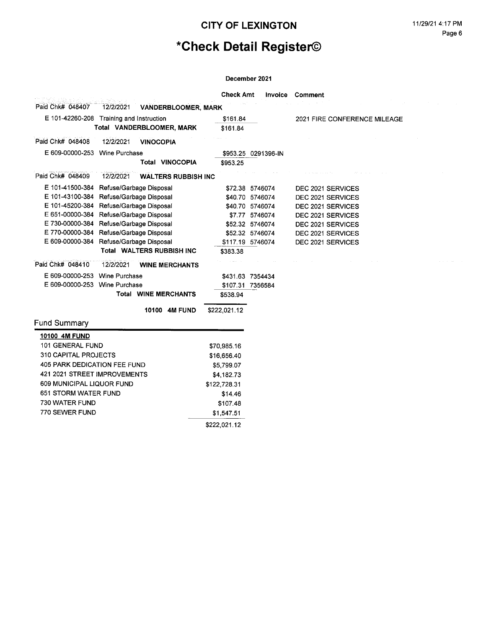# \*Check Detail Register©

|                                          |                         |                             | <b>Check Amt</b> | Invoice             | Comment                      |
|------------------------------------------|-------------------------|-----------------------------|------------------|---------------------|------------------------------|
| Paid Chk# 048407                         | 12/2/2021               | <b>VANDERBLOOMER, MARK</b>  |                  |                     |                              |
| E 101-42260-208 Training and Instruction |                         |                             | \$161.84         |                     | 2021 FIRE CONFERENCE MILEAGE |
|                                          |                         | Total VANDERBLOOMER, MARK   | \$161.84         |                     |                              |
| Paid Chk# 048408                         | 12/2/2021               | <b>VINOCOPIA</b>            |                  |                     |                              |
| E 609-00000-253 Wine Purchase            |                         |                             |                  | \$953.25 0291396-IN |                              |
|                                          |                         | <b>Total VINOCOPIA</b>      | \$953.25         |                     |                              |
| Paid Chk# 048409                         | 12/2/2021               | <b>WALTERS RUBBISH INC</b>  |                  |                     |                              |
| E 101-41500-384                          | Refuse/Garbage Disposal |                             |                  | \$72.38 5746074     | DEC 2021 SERVICES            |
| E 101-43100-384                          | Refuse/Garbage Disposal |                             |                  | \$40.70 5746074     | DEC 2021 SERVICES            |
| E 101-45200-384                          | Refuse/Garbage Disposal |                             |                  | \$40.70 5746074     | DEC 2021 SERVICES            |
| E 651-00000-384                          | Refuse/Garbage Disposal |                             |                  | \$7.77 5746074      | DEC 2021 SERVICES            |
| E 730-00000-384                          | Refuse/Garbage Disposal |                             |                  | \$52.32 5746074     | DEC 2021 SERVICES            |
| E 770-00000-384                          | Refuse/Garbage Disposal |                             |                  | \$52.32 5746074     | DEC 2021 SERVICES            |
| E 609-00000-384                          | Refuse/Garbage Disposal |                             |                  | \$117.19 5746074    | DEC 2021 SERVICES            |
|                                          |                         | Total WALTERS RUBBISH INC   | \$383.38         |                     |                              |
| Paid Chk# 048410                         | 12/2/2021               | <b>WINE MERCHANTS</b>       |                  |                     |                              |
| E 609-00000-253 Wine Purchase            |                         |                             |                  | \$431.63 7354434    |                              |
| E 609-00000-253 Wine Purchase            |                         |                             |                  | \$107.31 7356584    |                              |
|                                          |                         | <b>Total WINE MERCHANTS</b> | \$538.94         |                     |                              |
|                                          |                         | 10100 4M FUND               | \$222,021.12     |                     |                              |
| <b>Fund Summary</b>                      |                         |                             |                  |                     |                              |
| 10100 4M FUND                            |                         |                             |                  |                     |                              |
| 101 GENERAL FUND                         |                         |                             | \$70,985.16      |                     |                              |
| 310 CAPITAL PROJECTS                     |                         |                             | \$16,656.40      |                     |                              |
| 405 PARK DEDICATION FEE FUND             |                         |                             | \$5,799.07       |                     |                              |
| 421 2021 STREET IMPROVEMENTS             |                         |                             | \$4,182.73       |                     |                              |
| 609 MUNICIPAL LIQUOR FUND                |                         |                             | \$122,728.31     |                     |                              |
| <b>651 STORM WATER FUND</b>              |                         |                             | \$14.46          |                     |                              |
| 730 WATER FUND                           |                         |                             | \$107.48         |                     |                              |
| 770 SEWER FUND                           |                         |                             | \$1,547.51       |                     |                              |
|                                          |                         |                             | \$222,021.12     |                     |                              |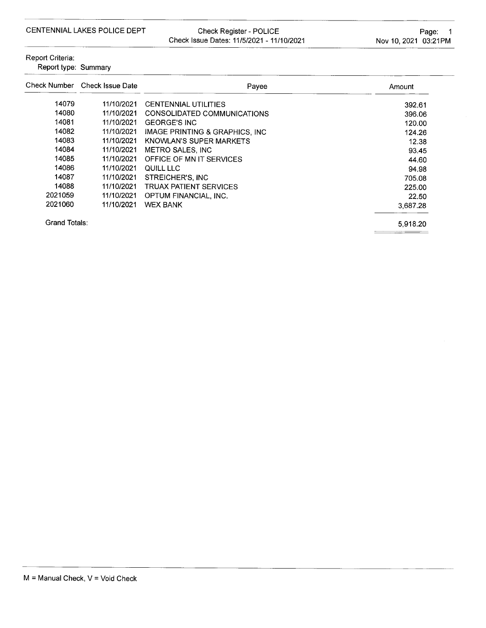Check Register - POLICE Check Issue Dates: 11/5/2021 - 11/10/2021

392.61 396.06 120.00 124.26 12.38 93.45 44.60 94.98

705.08

225.00

22.50

Amount

| Report Criteria:<br>Report type: Summary |                               |                                           |
|------------------------------------------|-------------------------------|-------------------------------------------|
|                                          | Check Number Check Issue Date | Payee                                     |
| 14079                                    | 11/10/2021                    | <b>CENTENNIAL UTILITIES</b>               |
| 14080                                    | 11/10/2021                    | CONSOLIDATED COMMUNICATIONS               |
| 14081                                    | 11/10/2021                    | <b>GEORGE'S INC</b>                       |
| 14082                                    | 11/10/2021                    | <b>IMAGE PRINTING &amp; GRAPHICS, INC</b> |
| 14083                                    | 11/10/2021                    | KNOWLAN'S SUPER MARKETS                   |
| 14084                                    | 11/10/2021                    | METRO SALES, INC                          |
| 14085                                    | 11/10/2021                    | OFFICE OF MN IT SERVICES                  |
| 14086                                    | 11/10/2021                    | QUILL LLC                                 |

11/10/2021 STREICHER'S, INC

14088 11/10/2021 TRUAX PATIENT SERVICES 2021059 11/10/2021 OPTUM FINANCIAL, INC. 2021060 11/10/2021 WEX BANK

**Grand Totals:** 

14087

5,918.20

3,687.28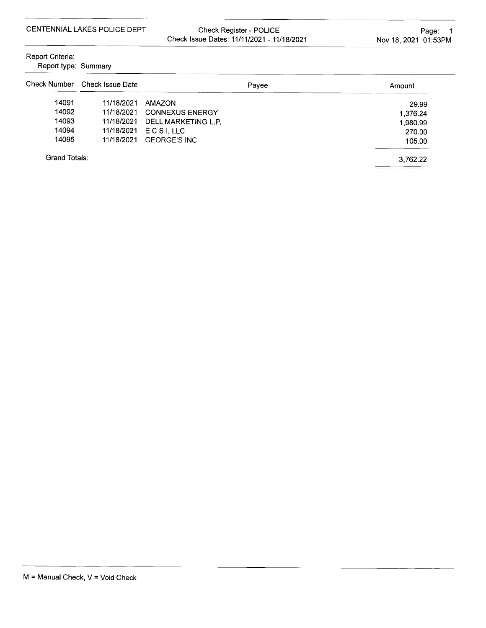Check Register - POLICE Check Issue Dates: 11/11/2021 - 11/18/2021

Report Criteria:

| Report type: Summary |  |
|----------------------|--|
|----------------------|--|

|               | Check Number Check Issue Date | Payee                  | Amount   |
|---------------|-------------------------------|------------------------|----------|
| 14091         | 11/18/2021                    | <b>AMAZON</b>          | 29.99    |
| 14092         | 11/18/2021                    | <b>CONNEXUS ENERGY</b> | 1.376.24 |
| 14093         | 11/18/2021                    | DELL MARKETING L.P.    | 1,980.99 |
| 14094         | 11/18/2021                    | ECSILLLC               | 270.00   |
| 14095         | 11/18/2021                    | <b>GEORGE'S INC</b>    | 105.00   |
| Grand Totals: |                               | 3.762.22               |          |